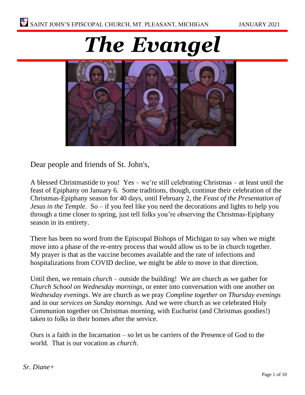



Dear people and friends of St. John's,

A blessed Christmastide to you! Yes – we're still celebrating Christmas – at least until the feast of Epiphany on January 6. Some traditions, though, continue their celebration of the Christmas-Epiphany season for 40 days, until February 2, the *Feast of the Presentation of Jesus in the Temple*. So – if you feel like you need the decorations and lights to help you through a time closer to spring, just tell folks you're observing the Christmas-Epiphany season in its entirety.

There has been no word from the Episcopal Bishops of Michigan to say when we might move into a phase of the re-entry process that would allow us to be in church together. My prayer is that as the vaccine becomes available and the rate of infections and hospitalizations from COVID decline, we might be able to move in that direction.

Until then, we remain *church* – outside the building! We are church as we gather for *Church School on Wednesday mornings*, or enter into conversation with one another on *Wednesday evenings*. We are church as we pray *Compline together on Thursday evenings*  and in our *services on Sunday mornings.* And we were church as we celebrated Holy Communion together on Christmas morning, with Eucharist (and Christmas goodies!) taken to folks in their homes after the service.

Ours is a faith in the Incarnation – so let us be carriers of the Presence of God to the world. That is our vocation as *church*.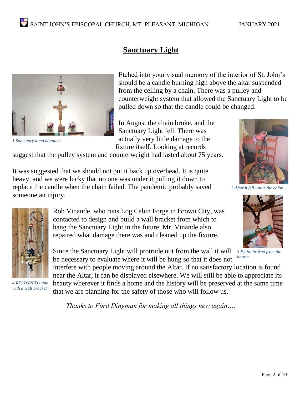

*1 Sanctuary lamp hanging*

Etched into your visual memory of the interior of St. John's should be a candle burning high above the altar suspended from the ceiling by a chain. There was a pulley and counterweight system that allowed the Sanctuary Light to be pulled down so that the candle could be changed.

In August the chain broke, and the Sanctuary Light fell. There was actually very little damage to the fixture itself. Looking at records

**Sanctuary Light**

suggest that the pulley system and counterweight had lasted about 75 years.

It was suggested that we should not put it back up overhead. It is quite heavy, and we were lucky that no one was under it pulling it down to replace the candle when the chain failed. The pandemic probably saved someone an injury.



*2 After it fell - note the color...*



*3 Finial broken from the bottom*



*4 RESTORED - and with a wall bracket*

Rob Vinande, who runs Log Cabin Forge in Brown City, was contacted to design and build a wall bracket from which to hang the Sanctuary Light in the future. Mr. Vinande also repaired what damage there was and cleaned up the fixture.

Since the Sanctuary Light will protrude out from the wall it will be necessary to evaluate where it will be hung so that it does not

interfere with people moving around the Altar. If no satisfactory location is found near the Altar, it can be displayed elsewhere. We will still be able to appreciate its beauty wherever it finds a home and the history will be preserved at the same time that we are planning for the safety of those who will follow us.

*Thanks to Ford Dingman for making all things new again….*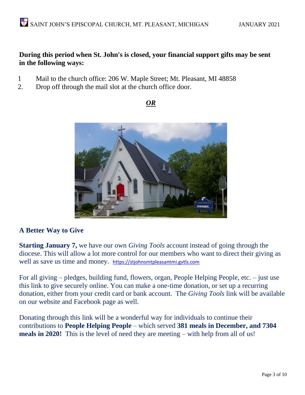# **During this period when St. John's is closed, your financial support gifts may be sent in the following ways:**

- 1 Mail to the church office: 206 W. Maple Street; Mt. Pleasant, MI 48858
- 2. Drop off through the mail slot at the church office door.

## *OR*



# **A Better Way to Give**

**Starting January 7,** we have our own *Giving Tools* account instead of going through the diocese. This will allow a lot more control for our members who want to direct their giving as well as save us time and money. [https://stjohnsmtpleasantmi.gvtls.com](https://stjohnsmtpleasantmi.gvtls.com/)

For all giving – pledges, building fund, flowers, organ, People Helping People, etc. – just use this link to give securely online. You can make a one-time donation, or set up a recurring donation, either from your credit card or bank account. The *Giving Tools* link will be available on our website and Facebook page as well.

Donating through this link will be a wonderful way for individuals to continue their contributions to **People Helping People** – which served **381 meals in December, and 7304 meals in 2020!** This is the level of need they are meeting – with help from all of us!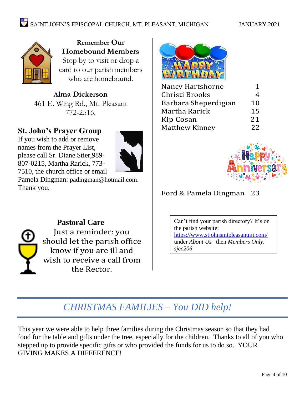

**Remember Our Homebound Members**  Stop by to visit or drop a card to our parishmembers who are homebound.

**Alma Dickerson** 461 E. Wing Rd., Mt. Pleasant 772-2516.

# **St. John's Prayer Group**

If you wish to add or remove names from the Prayer List, please call Sr. Diane Stier,989- 807-0215, Martha Rarick, 773- 7510, the church office or email



Pamela Dingman: [padingman@hotmail.com.](mailto:padingman@hotmail.com) Thank you.



**Pastoral Care** Just a reminder: you should let the parish office know if you are ill and wish to receive a call from the Rector.



| Nancy Hartshorne      | 1  |
|-----------------------|----|
| Christi Brooks        | 4  |
| Barbara Sheperdigian  | 10 |
| Martha Rarick         | 15 |
| Kip Cosan             | 21 |
| <b>Matthew Kinney</b> | 22 |
|                       |    |



# Ford & Pamela Dingman 23

Can't find your parish directory? It's on the parish website: <https://www.stjohnsmtpleasantmi.com/> under *About Us –*then *Members Only. sjec206*

# *CHRISTMAS FAMILIES – You DID help!*

This year we were able to help three families during the Christmas season so that they had food for the table and gifts under the tree, especially for the children. Thanks to all of you who stepped up to provide specific gifts or who provided the funds for us to do so. YOUR GIVING MAKES A DIFFERENCE!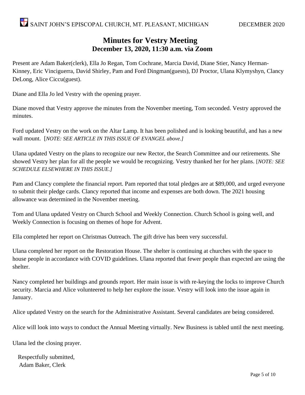# **Minutes for Vestry Meeting December 13, 2020, 11:30 a.m. via Zoom**

Present are Adam Baker(clerk), Ella Jo Regan, Tom Cochrane, Marcia David, Diane Stier, Nancy Herman-Kinney, Eric Vinciguerra, David Shirley, Pam and Ford Dingman(guests), DJ Proctor, Ulana Klymyshyn, Clancy DeLong, Alice Ciccu(guest).

Diane and Ella Jo led Vestry with the opening prayer.

Diane moved that Vestry approve the minutes from the November meeting, Tom seconded. Vestry approved the minutes.

Ford updated Vestry on the work on the Altar Lamp. It has been polished and is looking beautiful, and has a new wall mount. [*NOTE: SEE ARTICLE IN THIS ISSUE OF EVANGEL above.]*

Ulana updated Vestry on the plans to recognize our new Rector, the Search Committee and our retirements. She showed Vestry her plan for all the people we would be recognizing. Vestry thanked her for her plans. [*NOTE: SEE SCHEDULE ELSEWHERE IN THIS ISSUE.]*

Pam and Clancy complete the financial report. Pam reported that total pledges are at \$89,000, and urged everyone to submit their pledge cards. Clancy reported that income and expenses are both down. The 2021 housing allowance was determined in the November meeting.

Tom and Ulana updated Vestry on Church School and Weekly Connection. Church School is going well, and Weekly Connection is focusing on themes of hope for Advent.

Ella completed her report on Christmas Outreach. The gift drive has been very successful.

Ulana completed her report on the Restoration House. The shelter is continuing at churches with the space to house people in accordance with COVID guidelines. Ulana reported that fewer people than expected are using the shelter.

Nancy completed her buildings and grounds report. Her main issue is with re-keying the locks to improve Church security. Marcia and Alice volunteered to help her explore the issue. Vestry will look into the issue again in January.

Alice updated Vestry on the search for the Administrative Assistant. Several candidates are being considered.

Alice will look into ways to conduct the Annual Meeting virtually. New Business is tabled until the next meeting.

Ulana led the closing prayer.

Respectfully submitted, Adam Baker, Clerk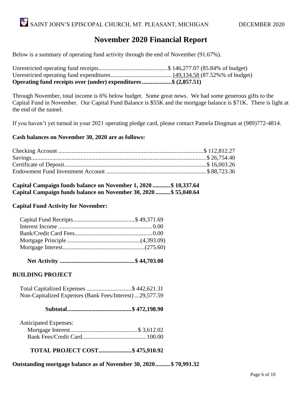# **November 2020 Financial Report**

Below is a summary of operating fund activity through the end of November (91.67%).

Unrestricted operating fund receipts..............................................\$ 146,277.07 (85.84% of budget) Unrestricted operating fund expenditures.........................................149,134.58 (87.52%% of budget) **Operating fund receipts over (under) expenditures....................\$ (2,857.51)**

Through November, total income is 6% below budget. Some great news. We had some generous gifts to the Capital Fund in November. Our Capital Fund Balance is \$55K and the mortgage balance is \$71K. There is light at the end of the tunnel.

If you haven't yet turned in your 2021 operating pledge card, please contact Pamela Dingman at (989)772-4814.

#### **Cash balances on November 30, 2020 are as follows:**

**Capital Campaign funds balance on November 1, 2020 ............\$ 10,337.64 Capital Campaign funds balance on November 30, 2020 ..........\$ 55,040.64**

#### **Capital Fund Activity for November:**

 **Net Activity ..................................................\$ 44,703.00**

### **BUILDING PROJECT**

 Total Capitalized Expenses ..............................\$ 442,621.31 Non-Capitalized Expenses (Bank Fees/Interest)...29,577.59

 **Subtotal...........................................\$ 472,198.90**

| <b>Anticipated Expenses:</b> |  |
|------------------------------|--|
|                              |  |
|                              |  |

**TOTAL PROJECT COST......................\$ 475,910.92**

**Outstanding mortgage balance as of November 30, 2020..........\$ 70,991.32**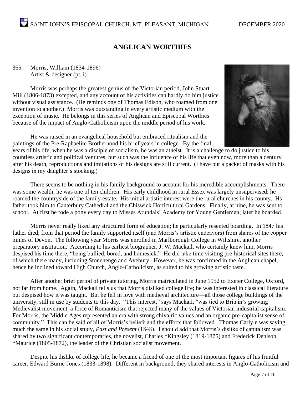# SAINT JOHN'S EPISCOPAL CHURCH, MT. PLEASANT, MICHIGAN DECEMBER 2020

# **ANGLICAN WORTHIES**

365. Morris, William (1834-1896) Artist & designer (pt. i)

Morris was perhaps the greatest genius of the Victorian period, John Stuart Mill (1806-1873) excepted, and any account of his activities can hardly do him justice without visual assistance. (He reminds one of Thomas Edison, who roamed from one invention to another.) Morris was outstanding in every artistic medium with the exception of music. He belongs in this series of Anglican and Episcopal Worthies because of the impact of Anglo-Catholicism upon the middle period of his work.



He was raised in an evangelical household but embraced ritualism and the paintings of the Pre-Raphaelite Brotherhood his brief years in college. By the final

years of his life, when he was a disciple of socialism, he was an atheist. It is a challenge to do justice to his countless artistic and political ventures, but such was the influence of his life that even now, more than a century after his death, reproductions and imitations of his designs are still current. (I have put a packet of masks with his designs in my daughter's stocking.)

There seems to be nothing in his family background to account for his incredible accomplishments. There was some wealth; he was one of ten children. His early childhood in rural Essex was largely unsupervised; he roamed the countryside of the family estate. His initial artistic interest were the rural churches in his county. Hs father took him to Canterbury Cathedral and the Chiswick Horticultural Gardens. Finally, at nine, he was sent to school. At first he rode a pony every day to Misses Arundals' Academy for Young Gentlemen; later he boarded.

Morris never really liked any structured form of education; he particularly resented boarding. In 1847 his father died; from that period the family supported itself (and Morris's artistic endeavors) from shares of the copper mines of Devon. The following year Morris was enrolled in Marlborough College in Wiltshire, another preparatory institution. According to his earliest biographer, J. W. Mackail, who certainly knew him, Morris despised his time there, "being bullied, bored, and homesick." He did take time visiting pre-historical sites there, of which there many, including Stonehenge and Avebury. However, he was confirmed in the Anglican chapel; hence he inclined toward High Church, Anglo-Catholicism, as suited to his growing artistic taste.

After another brief period of private tutoring, Morris matriculated in June 1952 to Exeter College, Oxford, not far from home. Again, Mackail tells us that Morris disliked college life; he was interested in classical literature but despised how it was taught. But he fell in love with medieval architecture—all those college buildings of the university, still in use by students to this day. "This interest," says Mackail, "was tied to Britain's growing Medievalist movement, a force of Romanticism that rejected many of the values of Victorian industrial capitalism. For Morris, the Middle Ages represented an era with strong chivalric values and an organic pre-capitalist sense of community." This can be said of all of Morris's beliefs and the efforts that followed. Thomas Carlyle was saying much the same in his social study, *Past and Present* (1848). I should add that Morris's dislike of capitalism was shared by two significant contemporaries, the novelist, Charles \*Kingsley (1819-1875) and Frederick Denison \*Maurice (1805-1872), the leader of the Christian socialist movement.

Despite his dislike of college life, he became a friend of one of the most important figures of his fruitful career, Edward Burne-Jones (1833-1898). Different in background, they shared interests in Anglo-Catholicism and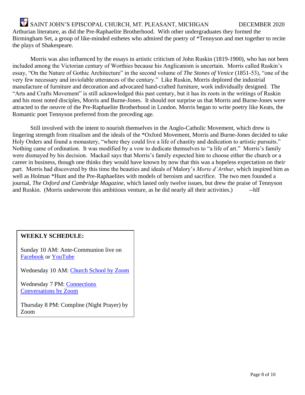SAINT JOHN'S EPISCOPAL CHURCH, MT. PLEASANT, MICHIGAN DECEMBER 2020 Arthurian literature, as did the Pre-Raphaelite Brotherhood. With other undergraduates they formed the Birmingham Set, a group of like-minded esthetes who admired the poetry of \*Tennyson and met together to recite the plays of Shakespeare.

Morris was also influenced by the essays in artistic criticism of John Ruskin (1819-1900), who has not been included among the Victorian century of Worthies because his Anglicanism is uncertain. Morris called Ruskin's essay, "On the Nature of Gothic Architecture" in the second volume of *The Stones of Venice* (1851-53), "one of the very few necessary and inviolable utterances of the century." Like Ruskin, Morris deplored the industrial manufacture of furniture and decoration and advocated hand-crafted furniture, work individually designed. The "Arts and Crafts Movement" is still acknowledged this past century, but it has its roots in the writings of Ruskin and his most noted disciples, Morris and Burne-Jones. It should not surprise us that Morris and Burne-Jones were attracted to the oeuvre of the Pre-Raphaelite Brotherhood in London. Morris began to write poetry like Keats, the Romantic poet Tennyson preferred from the preceding age.

Still involved with the intent to nourish themselves in the Anglo-Catholic Movement, which drew is lingering strength from ritualism and the ideals of the \*Oxford Movement, Morris and Burne-Jones decided to take Holy Orders and found a monastery, "where they could live a life of chastity and dedication to artistic pursuits." Nothing came of ordination. It was modified by a vow to dedicate themselves to "a life of art." Morris's family were dismayed by his decision. Mackail says that Morris's family expected him to choose either the church or a career in business, though one thinks they would have known by now that this was a hopeless expectation on their part. Morris had discovered by this time the beauties and ideals of Malory's *Morte d'Arthur*, which inspired him as well as Holman \*Hunt and the Pre-Raphaelites with models of heroism and sacrifice. The two men founded a journal, *The Oxford and Cambridge Magazine*, which lasted only twelve issues, but drew the praise of Tennyson and Ruskin. (Morris underwrote this ambitious venture, as he did nearly all their activities.) ---------------

### **WEEKLY SCHEDULE:**

Sunday 10 AM: Ante-Communion live on [Facebook](https://www.facebook.com/St-Johns-Mount-Pleasant-160189840686505/) or [YouTube](https://www.youtube.com/channel/UCqvBWSJZnVQHBDdRtL0OpoQ)

Wednesday 10 AM: [Church School by Zoom](https://us02web.zoom.us/j/83360661786?pwd=N3RiRUFEL2pwLzlQM0ZucGhvZkRUZz09)

Wednesday 7 PM: [Connections](https://us02web.zoom.us/j/84765345700?pwd=YkI4RDErVTNIcXV1NkJzZ2M1N1kyQT09)  [Conversations by Zoom](https://us02web.zoom.us/j/84765345700?pwd=YkI4RDErVTNIcXV1NkJzZ2M1N1kyQT09)

Thursday 8 PM: Compline (Night Prayer) by Zoom